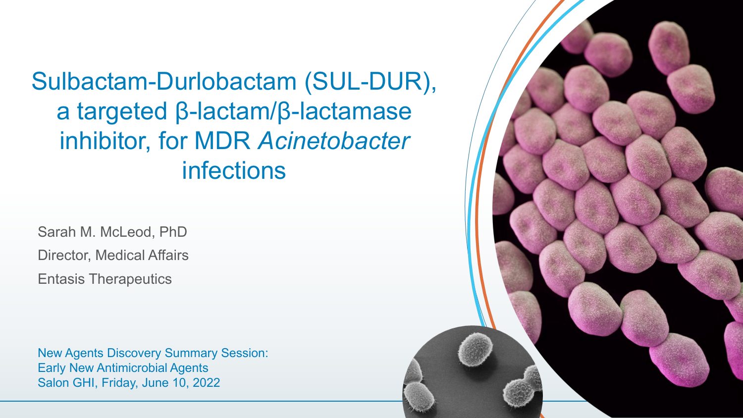Sulbactam-Durlobactam (SUL-DUR), a targeted β-lactam/β-lactamase inhibitor, for MDR *Acinetobacter*  infections

Sarah M. McLeod, PhD Director, Medical Affairs Entasis Therapeutics

New Agents Discovery Summary Session: Early New Antimicrobial Agents Salon GHI, Friday, June 10, 2022

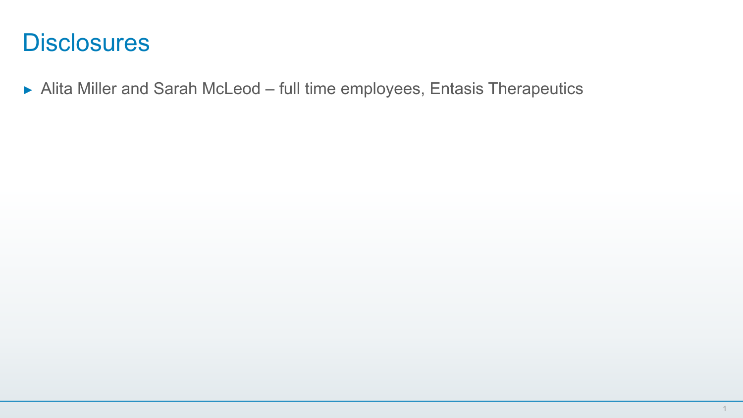#### **Disclosures**

► Alita Miller and Sarah McLeod – full time employees, Entasis Therapeutics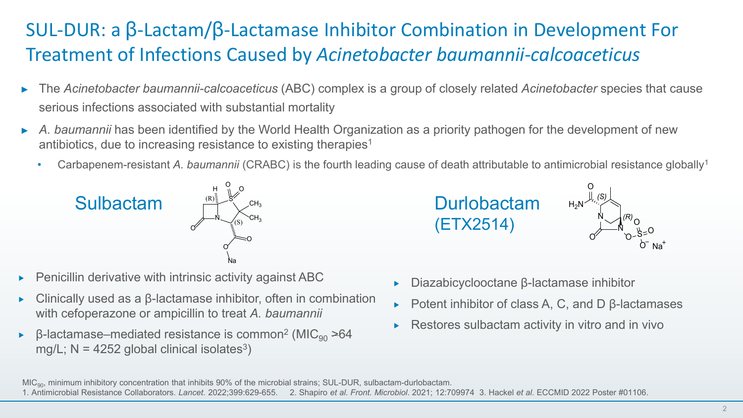#### SUL-DUR: a β-Lactam/β-Lactamase Inhibitor Combination in Development For Treatment of Infections Caused by *Acinetobacter baumannii-calcoaceticus*

- ► The *Acinetobacter baumannii-calcoaceticus* (ABC) complex is a group of closely related *Acinetobacter* species that cause serious infections associated with substantial mortality
- ► *A. baumannii* has been identified by the World Health Organization as a priority pathogen for the development of new antibiotics, due to increasing resistance to existing therapies<sup>1</sup>
	- Carbapenem-resistant *A. baumannii* (CRABC) is the fourth leading cause of death attributable to antimicrobial resistance globally1







- Penicillin derivative with intrinsic activity against ABC
- Clinically used as a β-lactamase inhibitor, often in combination with cefoperazone or ampicillin to treat *A. baumannii*
- $\beta$ -lactamase–mediated resistance is common<sup>2</sup> (MIC<sub>90</sub> >64 mg/L;  $N = 4252$  global clinical isolates<sup>3</sup>)
- Diazabicyclooctane β-lactamase inhibitor
- Potent inhibitor of class A, C, and D β-lactamases
- Restores sulbactam activity in vitro and in vivo

S <sup>O</sup> <sup>H</sup> <sup>O</sup>

(S)

(R)

O Na O

 $\mathsf{CH}_3$  $\mathsf{CH}_3$ 

MIC<sub>90</sub>, minimum inhibitory concentration that inhibits 90% of the microbial strains; SUL-DUR, sulbactam-durlobactam.

<sup>1.</sup> Antimicrobial Resistance Collaborators. *Lancet.* 2022;399:629-655. 2. Shapiro *et al. Front. Microbiol*. 2021; 12:709974 3. Hackel *et al*. ECCMID 2022 Poster #01106.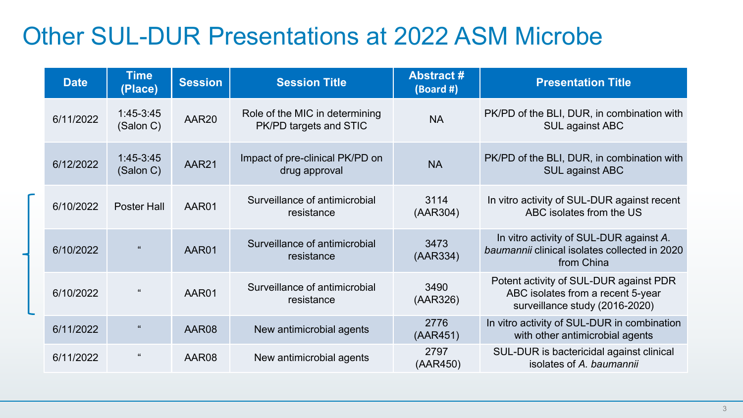#### Other SUL-DUR Presentations at 2022 ASM Microbe

| <b>Date</b> | <b>Time</b><br>(Place)   | <b>Session</b> | <b>Session Title</b>                                            | <b>Abstract#</b><br>$(Board \#)$                                                                   | <b>Presentation Title</b>                                                                                     |  |  |
|-------------|--------------------------|----------------|-----------------------------------------------------------------|----------------------------------------------------------------------------------------------------|---------------------------------------------------------------------------------------------------------------|--|--|
| 6/11/2022   | 1:45-3:45<br>(Salon C)   | AAR20          | Role of the MIC in determining<br>PK/PD targets and STIC        | <b>NA</b>                                                                                          | PK/PD of the BLI, DUR, in combination with<br>SUL against ABC                                                 |  |  |
| 6/12/2022   | $1:45-3:45$<br>(Salon C) | AAR21          | Impact of pre-clinical PK/PD on<br><b>NA</b><br>drug approval   |                                                                                                    | PK/PD of the BLI, DUR, in combination with<br>SUL against ABC                                                 |  |  |
| 6/10/2022   | Poster Hall              | AAR01          | Surveillance of antimicrobial<br>resistance                     | 3114<br>(AAR304)                                                                                   | In vitro activity of SUL-DUR against recent<br>ABC isolates from the US                                       |  |  |
| 6/10/2022   |                          | AAR01          | Surveillance of antimicrobial<br>resistance                     | 3473<br>(AAR334)                                                                                   | In vitro activity of SUL-DUR against A.<br>baumannii clinical isolates collected in 2020<br>from China        |  |  |
| 6/10/2022   |                          | AAR01          | 3490<br>Surveillance of antimicrobial<br>(AAR326)<br>resistance |                                                                                                    | Potent activity of SUL-DUR against PDR<br>ABC isolates from a recent 5-year<br>surveillance study (2016-2020) |  |  |
| 6/11/2022   | $\epsilon\epsilon$       | AAR08          | New antimicrobial agents                                        | In vitro activity of SUL-DUR in combination<br>2776<br>with other antimicrobial agents<br>(AAR451) |                                                                                                               |  |  |
| 6/11/2022   |                          | AAR08          | New antimicrobial agents                                        | 2797<br>(AAR450)                                                                                   | SUL-DUR is bactericidal against clinical<br>isolates of A. baumannii                                          |  |  |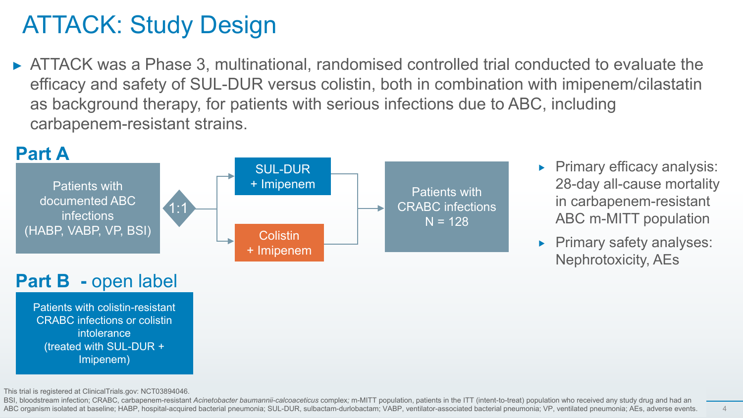## ATTACK: Study Design

► ATTACK was a Phase 3, multinational, randomised controlled trial conducted to evaluate the efficacy and safety of SUL-DUR versus colistin, both in combination with imipenem/cilastatin as background therapy, for patients with serious infections due to ABC, including carbapenem-resistant strains.



- Primary efficacy analysis: 28-day all-cause mortality in carbapenem-resistant ABC m-MITT population
- Primary safety analyses: Nephrotoxicity, AEs

**Part B -** open label

Patients with colistin-resistant CRABC infections or colistin intolerance (treated with SUL-DUR + Imipenem)

This trial is registered at ClinicalTrials.gov: NCT03894046.

BSI, bloodstream infection; CRABC, carbapenem-resistant *Acinetobacter baumannii-calcoaceticus* complex; m-MITT population, patients in the ITT (intent-to-treat) population who received any study drug and had an ABC organism isolated at baseline; HABP, hospital-acquired bacterial pneumonia; SUL-DUR, sulbactam-durlobactam; VABP, ventilator-associated bacterial pneumonia; VP, ventilated pneumonia; AEs, adverse events.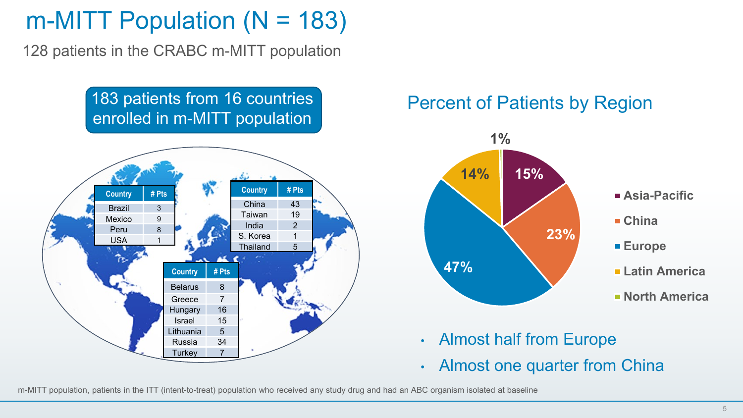#### m-MITT Population  $(N = 183)$

128 patients in the CRABC m-MITT population

#### 183 patients from 16 countries enrolled in m-MITT population



#### Percent of Patients by Region



- Almost half from Europe
- Almost one quarter from China

m-MITT population, patients in the ITT (intent-to-treat) population who received any study drug and had an ABC organism isolated at baseline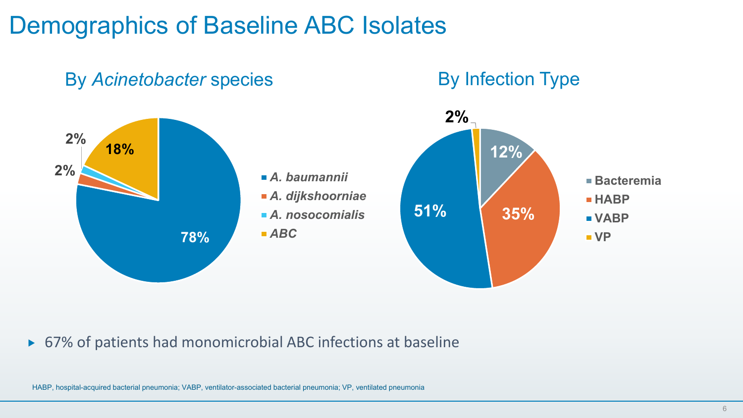#### Demographics of Baseline ABC Isolates



#### ▶ 67% of patients had monomicrobial ABC infections at baseline

HABP, hospital-acquired bacterial pneumonia; VABP, ventilator-associated bacterial pneumonia; VP, ventilated pneumonia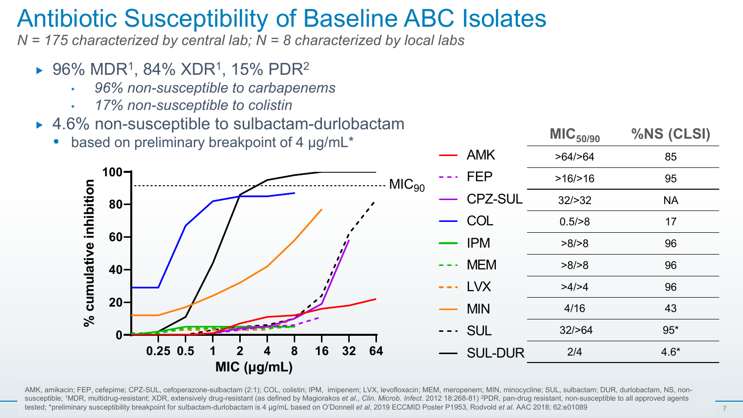#### Antibiotic Susceptibility of Baseline ABC Isolates

*N = 175 characterized by central lab; N = 8 characterized by local labs*

- $\triangleright$  96% MDR<sup>1</sup>, 84% XDR<sup>1</sup>, 15% PDR<sup>2</sup>
	- *96% non-susceptible to carbapenems*
	- *17% non-susceptible to colistin*
- ▶ 4.6% non-susceptible to sulbactam-durlobactam
	- based on preliminary breakpoint of 4 µg/mL<sup>\*</sup>



AMK, amikacin; FEP, cefepime; CPZ-SUL, cefoperazone-sulbactam (2:1); COL, colistin; IPM, imipenem; LVX, levofloxacin; MEM, meropenem; MIN, minocycline; SUL, sulbactam; DUR, durlobactam, NS, nonsusceptible; <sup>1</sup>MDR, multidrug-resistant; XDR, extensively drug-resistant (as defined by Magiorakos *et al., Clin. Microb. Infect.* 2012 18:268-81) <sup>2</sup>PDR, pan-drug resistant, non-susceptible to all approved agents tested; \*preliminary susceptibility breakpoint for sulbactam-durlobactam is 4 µg/mL based on O'Donnell *et al*, 2019 ECCMID Poster P1953, Rodvold *et al.* AAC 2018; 62:e01089

**MIC50/90 %NS (CLSI)**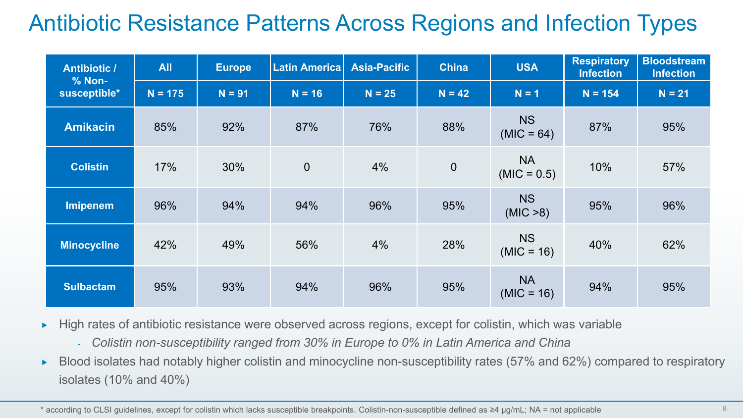#### Antibiotic Resistance Patterns Across Regions and Infection Types

| <b>Antibiotic /</b><br>$% Non-$ | <b>All</b> | <b>Europe</b> | <b>Latin America</b> | <b>Asia-Pacific</b> | <b>China</b>   | <b>USA</b>                 | <b>Respiratory</b><br><b>Infection</b> | <b>Bloodstream</b><br><b>Infection</b> |
|---------------------------------|------------|---------------|----------------------|---------------------|----------------|----------------------------|----------------------------------------|----------------------------------------|
| susceptible*                    | $N = 175$  | $N = 91$      | $N = 16$             | $N = 25$            | $N = 42$       | $N = 1$                    | $N = 154$                              | $N = 21$                               |
| <b>Amikacin</b>                 | 85%        | 92%           | 87%                  | 76%                 | 88%            | <b>NS</b><br>$(MIC = 64)$  | 87%                                    | 95%                                    |
| <b>Colistin</b>                 | 17%        | 30%           | $\mathbf 0$          | 4%                  | $\overline{0}$ | <b>NA</b><br>$(MIC = 0.5)$ | 10%                                    | 57%                                    |
| <b>Imipenem</b>                 | 96%        | 94%           | 94%                  | 96%                 | 95%            | <b>NS</b><br>(MIC > 8)     | 95%                                    | 96%                                    |
| <b>Minocycline</b>              | 42%        | 49%           | 56%                  | 4%                  | 28%            | <b>NS</b><br>$(MIC = 16)$  | 40%                                    | 62%                                    |
| <b>Sulbactam</b>                | 95%        | 93%           | 94%                  | 96%                 | 95%            | <b>NA</b><br>$(MIC = 16)$  | 94%                                    | 95%                                    |

- $\blacktriangleright$  High rates of antibiotic resistance were observed across regions, except for colistin, which was variable
	- *Colistin non-susceptibility ranged from 30% in Europe to 0% in Latin America and China*
- ► Blood isolates had notably higher colistin and minocycline non-susceptibility rates (57% and 62%) compared to respiratory isolates (10% and 40%)

\* according to CLSI guidelines, except for colistin which lacks susceptible breakpoints. Colistin-non-susceptible defined as ≥4 µg/mL; NA = not applicable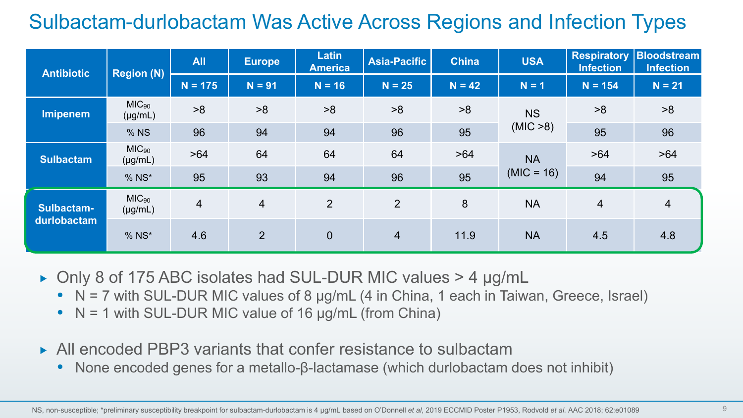#### Sulbactam-durlobactam Was Active Across Regions and Infection Types

| <b>Antibiotic</b> | <b>Region (N)</b>                 | <b>All</b>     | <b>Europe</b>  | <b>Latin</b><br><b>America</b> | <b>Asia-Pacific</b> | <b>China</b> | <b>USA</b>   | Infection      | <b>Respiratory Bloodstream</b><br><b>Infection</b> |
|-------------------|-----------------------------------|----------------|----------------|--------------------------------|---------------------|--------------|--------------|----------------|----------------------------------------------------|
|                   |                                   | $N = 175$      | $N = 91$       | $N = 16$                       | $N = 25$            | $N = 42$     | $N = 1$      | $N = 154$      | $N = 21$                                           |
| Imipenem          | MIC <sub>90</sub><br>$(\mu g/mL)$ | >8             | >8             | >8                             | >8                  | >8           | <b>NS</b>    | >8             | >8                                                 |
|                   | % NS                              | 96             | 94             | 94                             | 96                  | 95           | (MIC > 8)    | 95             | 96                                                 |
| <b>Sulbactam</b>  | MIC <sub>90</sub><br>$(\mu g/mL)$ | >64            | 64             | 64                             | 64                  | >64          | <b>NA</b>    | >64            | >64                                                |
|                   | $%$ NS*                           | 95             | 93             | 94                             | 96                  | 95           | $(MIC = 16)$ | 94             | 95                                                 |
| Sulbactam-        | MIC <sub>90</sub><br>$(\mu g/mL)$ | $\overline{4}$ | $\overline{4}$ | $\overline{2}$                 | 2                   | 8            | <b>NA</b>    | $\overline{4}$ | $\overline{4}$                                     |
| durlobactam       | $%$ NS*                           | 4.6            | $\overline{2}$ | $\mathbf 0$                    | $\overline{4}$      | 11.9         | <b>NA</b>    | 4.5            | 4.8                                                |

- ► Only 8 of 175 ABC isolates had SUL-DUR MIC values > 4 µg/mL
	- $\bullet$  N = 7 with SUL-DUR MIC values of 8  $\mu$ g/mL (4 in China, 1 each in Taiwan, Greece, Israel)
	- $\bullet$  N = 1 with SUL-DUR MIC value of 16  $\mu$ g/mL (from China)
- ▶ All encoded PBP3 variants that confer resistance to sulbactam
	- None encoded genes for a metallo-β-lactamase (which durlobactam does not inhibit)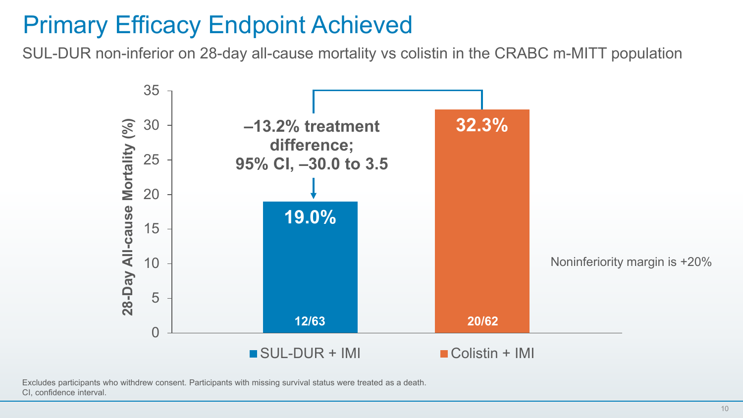# Primary Efficacy Endpoint Achieved

SUL-DUR non-inferior on 28-day all-cause mortality vs colistin in the CRABC m-MITT population



Excludes participants who withdrew consent. Participants with missing survival status were treated as a death. CI, confidence interval.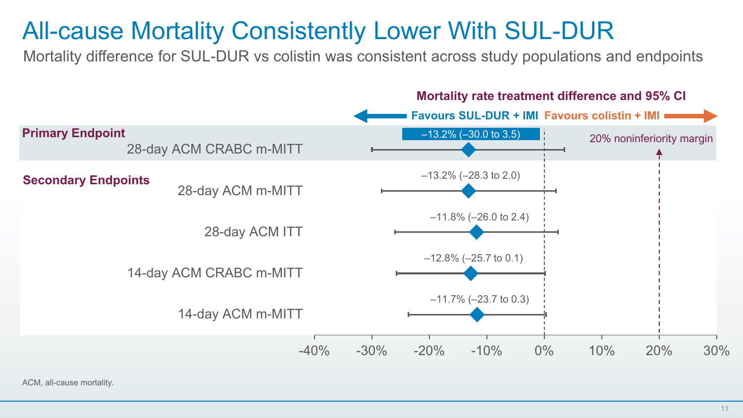## All-cause Mortality Consistently Lower With SUL-DUR

Mortality difference for SUL-DUR vs colistin was consistent across study populations and endpoints



ACM, all-cause mortality.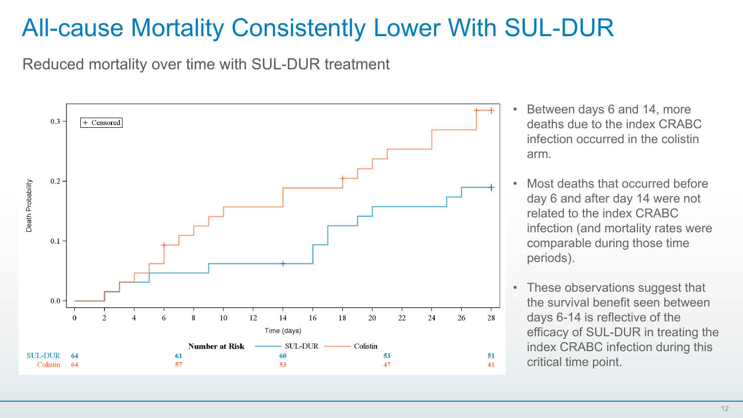#### All-cause Mortality Consistently Lower With SUL-DUR

Reduced mortality over time with SUL-DUR treatment



- Between days 6 and 14, more deaths due to the index CRABC infection occurred in the colistin arm.
- Most deaths that occurred before day 6 and after day 14 were not related to the index CRABC infection (and mortality rates were comparable during those time periods).
- These observations suggest that the survival benefit seen between days 6-14 is reflective of the efficacy of SUL-DUR in treating the index CRABC infection during this critical time point.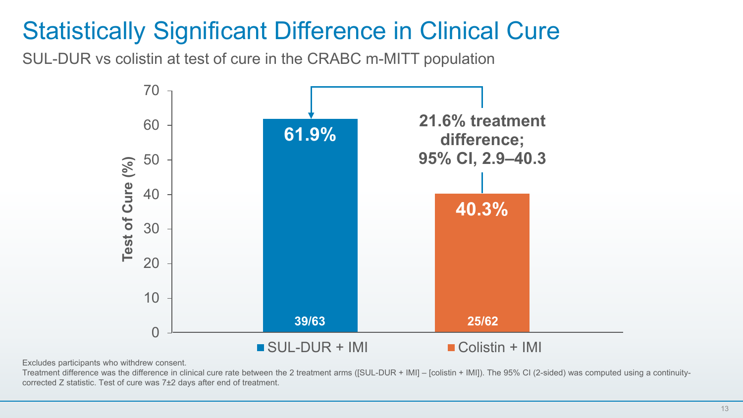# Statistically Significant Difference in Clinical Cure

SUL-DUR vs colistin at test of cure in the CRABC m-MITT population



Excludes participants who withdrew consent.

Treatment difference was the difference in clinical cure rate between the 2 treatment arms ([SUL-DUR + IMI] – [colistin + IMI]). The 95% CI (2-sided) was computed using a continuitycorrected Z statistic. Test of cure was 7±2 days after end of treatment.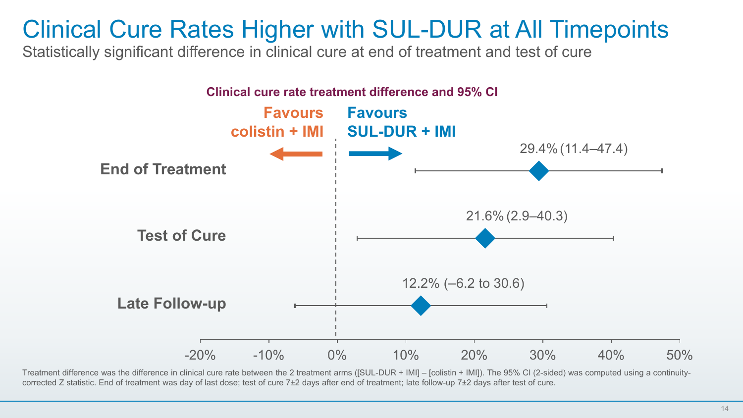#### Clinical Cure Rates Higher with SUL-DUR at All Timepoints

Statistically significant difference in clinical cure at end of treatment and test of cure



Treatment difference was the difference in clinical cure rate between the 2 treatment arms ([SUL-DUR + IMI] – [colistin + IMI]). The 95% CI (2-sided) was computed using a continuitycorrected Z statistic. End of treatment was day of last dose; test of cure 7±2 days after end of treatment; late follow-up 7±2 days after test of cure.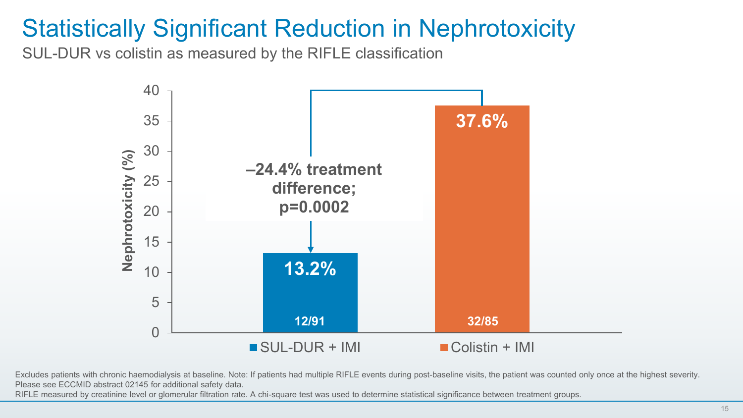### Statistically Significant Reduction in Nephrotoxicity

SUL-DUR vs colistin as measured by the RIFLE classification



Excludes patients with chronic haemodialysis at baseline. Note: If patients had multiple RIFLE events during post-baseline visits, the patient was counted only once at the highest severity. Please see ECCMID abstract 02145 for additional safety data.

RIFLE measured by creatinine level or glomerular filtration rate. A chi-square test was used to determine statistical significance between treatment groups.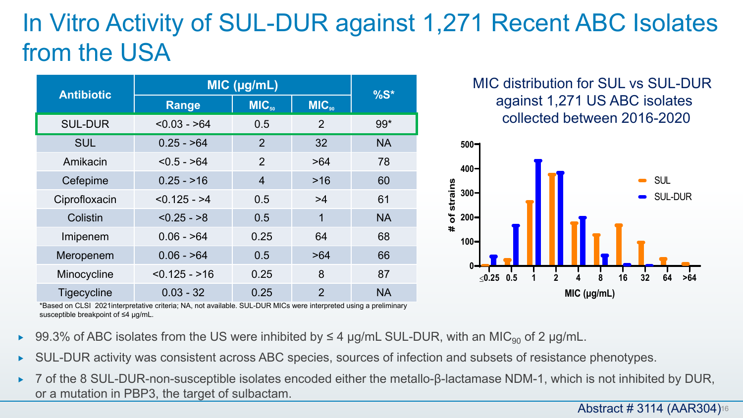# In Vitro Activity of SUL-DUR against 1,271 Recent ABC Isolates from the USA

| <b>Antibiotic</b> | MIC (µg/mL)    | $%S^*$            |                   |           |
|-------------------|----------------|-------------------|-------------------|-----------|
|                   | <b>Range</b>   | MIC <sub>so</sub> | MIC <sub>on</sub> |           |
| <b>SUL-DUR</b>    | $< 0.03 - 64$  | 0.5               | 2                 | $99*$     |
| <b>SUL</b>        | $0.25 - 564$   | 2                 | 32                | <b>NA</b> |
| Amikacin          | $< 0.5 - 64$   | $\overline{2}$    | >64               | 78        |
| Cefepime          | $0.25 - 16$    | 4                 | $>16$             | 60        |
| Ciprofloxacin     | $< 0.125 - 24$ | 0.5               | >4                | 61        |
| Colistin          | $< 0.25 - 8$   | 0.5               | 1                 | <b>NA</b> |
| Imipenem          | $0.06 - 864$   | 0.25              | 64                | 68        |
| Meropenem         | $0.06 - 564$   | 0.5               | >64               | 66        |
| Minocycline       | $< 0.125 - 16$ | 0.25              | 8                 | 87        |
| Tigecycline       | $0.03 - 32$    | 0.25              | $\overline{2}$    | <b>NA</b> |

MIC distribution for SUL vs SUL-DUR against 1,271 US ABC isolates collected between 2016-2020



\*Based on CLSI 2021interpretative criteria; NA, not available. SUL-DUR MICs were interpreted using a preliminary susceptible breakpoint of ≤4 µg/mL.

- $\triangleright$  99.3% of ABC isolates from the US were inhibited by ≤ 4 µg/mL SUL-DUR, with an MIC<sub>90</sub> of 2 µg/mL.
- SUL-DUR activity was consistent across ABC species, sources of infection and subsets of resistance phenotypes.
- 7 of the 8 SUL-DUR-non-susceptible isolates encoded either the metallo-β-lactamase NDM-1, which is not inhibited by DUR, or a mutation in PBP3, the target of sulbactam.

**Abstract # 3114 (AAR304)**16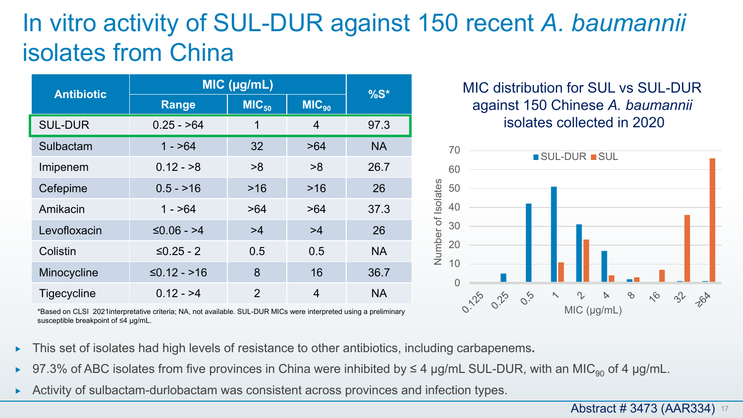### In vitro activity of SUL-DUR against 150 recent *A. baumannii* isolates from China

| <b>Antibiotic</b> | MIC (µg/mL)   | $%S^*$            |                   |           |  |
|-------------------|---------------|-------------------|-------------------|-----------|--|
|                   | <b>Range</b>  | MIC <sub>50</sub> | MIC <sub>90</sub> |           |  |
| <b>SUL-DUR</b>    | $0.25 - 64$   | 1                 | 4                 | 97.3      |  |
| Sulbactam         | $1 - 564$     | 32                | >64               | <b>NA</b> |  |
| Imipenem          | $0.12 - 8$    | >8                | >8                | 26.7      |  |
| Cefepime          | $0.5 - 16$    | >16               | >16               | 26        |  |
| Amikacin          | $1 - 564$     | >64               | >64               | 37.3      |  |
| Levofloxacin      | $≤0.06 - >4$  | >4                | >4                | 26        |  |
| Colistin          | $≤0.25 - 2$   | 0.5               | 0.5               | <b>NA</b> |  |
| Minocycline       | $≤0.12 - >16$ | 8                 | 16                | 36.7      |  |
| Tigecycline       | $0.12 - 24$   | $\mathfrak{p}$    | 4                 | <b>NA</b> |  |

\*Based on CLSI 2021interpretative criteria; NA, not available. SUL-DUR MICs were interpreted using a preliminary susceptible breakpoint of ≤4 µg/mL.

MIC distribution for SUL vs SUL-DUR against 150 Chinese *A. baumannii* isolates collected in 2020



- This set of isolates had high levels of resistance to other antibiotics, including carbapenems**.**
- $\triangleright$  97.3% of ABC isolates from five provinces in China were inhibited by ≤ 4 µg/mL SUL-DUR, with an MIC<sub>90</sub> of 4 µg/mL.
- ► Activity of sulbactam-durlobactam was consistent across provinces and infection types.

**Abstract # 3473 (AAR334)** 17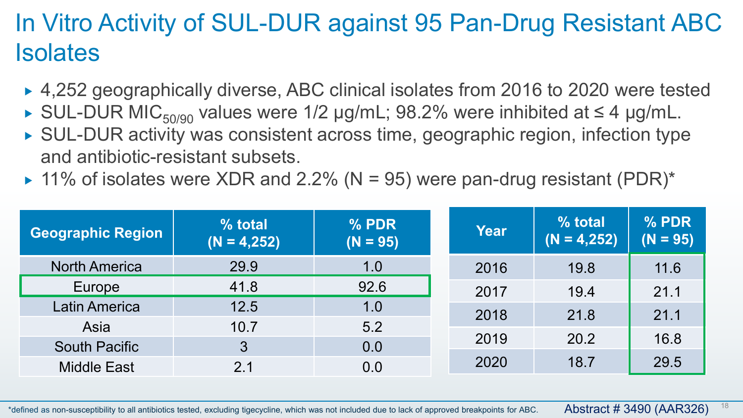# In Vitro Activity of SUL-DUR against 95 Pan-Drug Resistant ABC **Isolates**

- ► 4,252 geographically diverse, ABC clinical isolates from 2016 to 2020 were tested
- SUL-DUR MIC<sub>50/90</sub> values were 1/2 µg/mL; 98.2% were inhibited at  $\leq 4$  µg/mL.
- ▶ SUL-DUR activity was consistent across time, geographic region, infection type and antibiotic-resistant subsets.
- $\triangleright$  11% of isolates were XDR and 2.2% (N = 95) were pan-drug resistant (PDR)\*

| <b>Geographic Region</b> | % total<br>$(N = 4, 252)$ | % PDR<br>$(N = 95)$ | <b>Year</b> | % total<br>$(N = 4, 252)$ | % PDR<br>$(N = 95)$ |
|--------------------------|---------------------------|---------------------|-------------|---------------------------|---------------------|
| <b>North America</b>     | 29.9                      | 1.0                 | 2016        | 19.8                      | 11.6                |
| Europe                   | 41.8                      | 92.6                | 2017        | 19.4                      | 21.1                |
| Latin America            | 12.5                      | 1.0                 | 2018        | 21.8                      | 21.1                |
| Asia                     | 10.7                      | 5.2                 |             |                           |                     |
| <b>South Pacific</b>     | 3                         | 0.0                 | 2019        | 20.2                      | 16.8                |
| <b>Middle East</b>       | 2.1                       | 0.0                 | 2020        | 18.7                      | 29.5                |

\*defined as non-susceptibility to all antibiotics tested, excluding tigecycline, which was not included due to lack of approved breakpoints for ABC.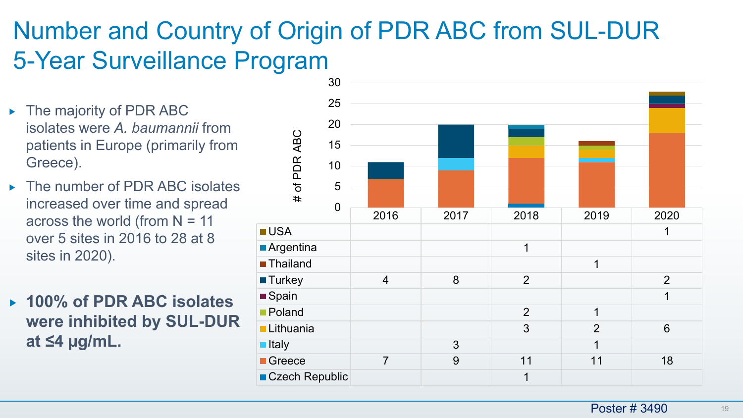# Number and Country of Origin of PDR ABC from SUL-DUR 5-Year Surveillance Program

- $\triangleright$  The majority of PDR ABC isolates were *A. baumannii* from patients in Europe (primarily from Greece).
- ▶ The number of PDR ABC isolates increased over time and spread across the world (from  $N = 11$ over 5 sites in 2016 to 28 at 8 sites in 2020).
- **100% of PDR ABC isolates were inhibited by SUL-DUR at ≤4 µg/mL.**

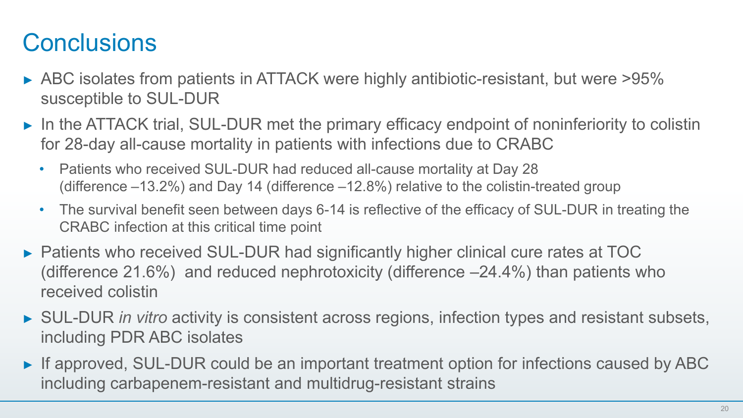# **Conclusions**

- ► ABC isolates from patients in ATTACK were highly antibiotic-resistant, but were >95% susceptible to SUL-DUR
- ► In the ATTACK trial, SUL-DUR met the primary efficacy endpoint of noninferiority to colistin for 28-day all-cause mortality in patients with infections due to CRABC
	- Patients who received SUL-DUR had reduced all-cause mortality at Day 28 (difference –13.2%) and Day 14 (difference –12.8%) relative to the colistin-treated group
	- The survival benefit seen between days 6-14 is reflective of the efficacy of SUL-DUR in treating the CRABC infection at this critical time point
- ► Patients who received SUL-DUR had significantly higher clinical cure rates at TOC (difference 21.6%) and reduced nephrotoxicity (difference –24.4%) than patients who received colistin
- ► SUL-DUR *in vitro* activity is consistent across regions, infection types and resistant subsets, including PDR ABC isolates
- ► If approved, SUL-DUR could be an important treatment option for infections caused by ABC including carbapenem-resistant and multidrug-resistant strains